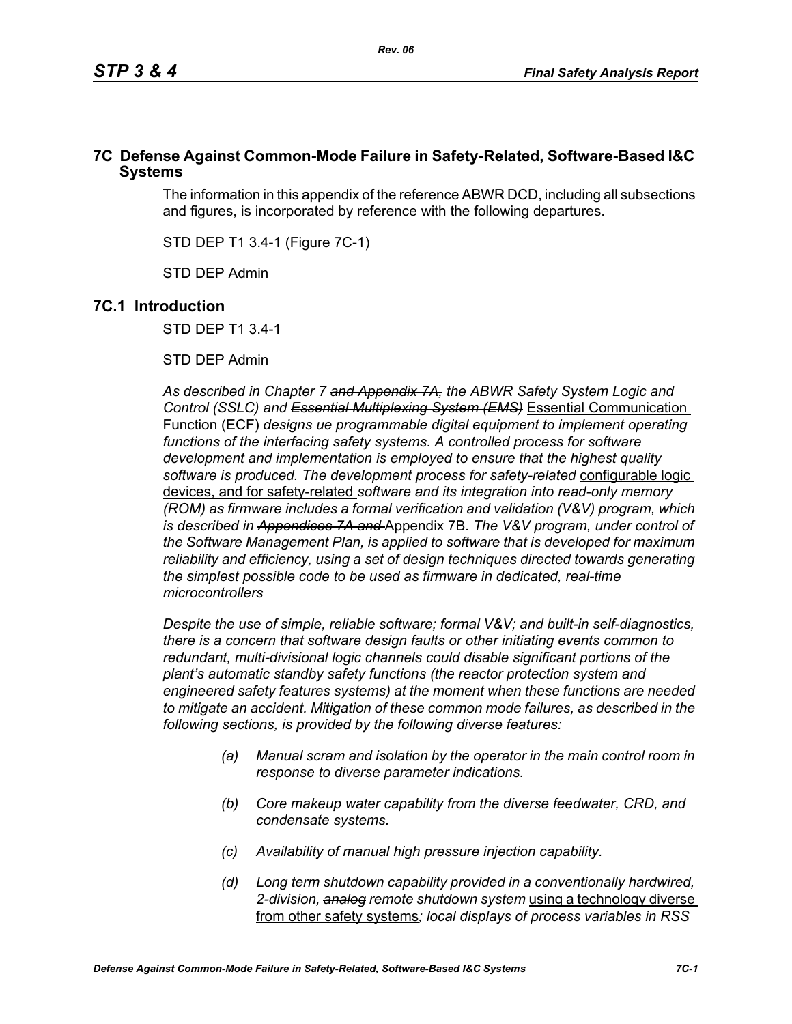## **7C Defense Against Common-Mode Failure in Safety-Related, Software-Based I&C Systems**

The information in this appendix of the reference ABWR DCD, including all subsections and figures, is incorporated by reference with the following departures.

STD DEP T1 3.4-1 (Figure 7C-1)

STD DEP Admin

## **7C.1 Introduction**

STD DEP T1 3.4-1

STD DEP Admin

*As described in Chapter 7 and Appendix 7A, the ABWR Safety System Logic and Control (SSLC) and Essential Multiplexing System (EMS)* Essential Communication Function (ECF) *designs ue programmable digital equipment to implement operating*  functions of the interfacing safety systems. A controlled process for software *development and implementation is employed to ensure that the highest quality software is produced. The development process for safety-related* configurable logic devices, and for safety-related *software and its integration into read-only memory (ROM) as firmware includes a formal verification and validation (V&V) program, which is described in Appendices 7A and* Appendix 7B*. The V&V program, under control of the Software Management Plan, is applied to software that is developed for maximum reliability and efficiency, using a set of design techniques directed towards generating the simplest possible code to be used as firmware in dedicated, real-time microcontrollers*

*Despite the use of simple, reliable software; formal V&V; and built-in self-diagnostics, there is a concern that software design faults or other initiating events common to redundant, multi-divisional logic channels could disable significant portions of the plant's automatic standby safety functions (the reactor protection system and engineered safety features systems) at the moment when these functions are needed to mitigate an accident. Mitigation of these common mode failures, as described in the following sections, is provided by the following diverse features:*

- *(a) Manual scram and isolation by the operator in the main control room in response to diverse parameter indications.*
- *(b) Core makeup water capability from the diverse feedwater, CRD, and condensate systems.*
- *(c) Availability of manual high pressure injection capability.*
- *(d) Long term shutdown capability provided in a conventionally hardwired, 2-division, analog remote shutdown system* using a technology diverse from other safety systems*; local displays of process variables in RSS*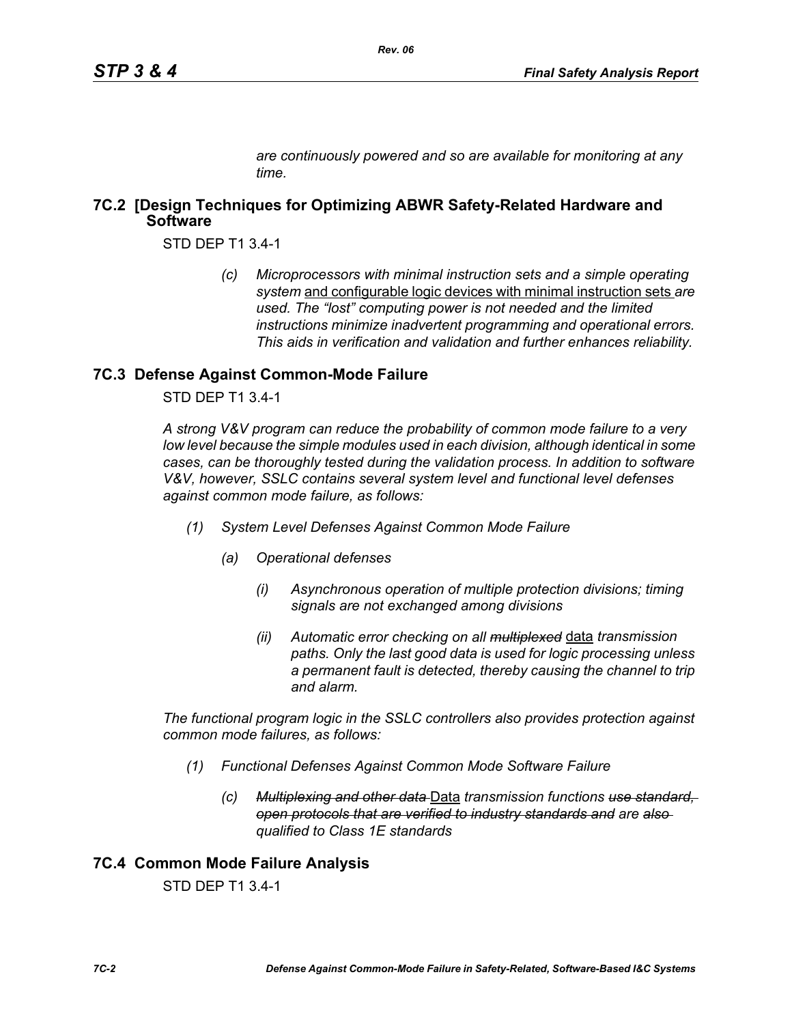*are continuously powered and so are available for monitoring at any time.*

## **7C.2 [Design Techniques for Optimizing ABWR Safety-Related Hardware and Software**

STD DEP T1 3.4-1

*(c) Microprocessors with minimal instruction sets and a simple operating system* and configurable logic devices with minimal instruction sets *are used. The "lost" computing power is not needed and the limited instructions minimize inadvertent programming and operational errors. This aids in verification and validation and further enhances reliability.*

### **7C.3 Defense Against Common-Mode Failure**

STD DEP T1 3.4-1

*A strong V&V program can reduce the probability of common mode failure to a very low level because the simple modules used in each division, although identical in some cases, can be thoroughly tested during the validation process. In addition to software V&V, however, SSLC contains several system level and functional level defenses against common mode failure, as follows:*

- *(1) System Level Defenses Against Common Mode Failure*
	- *(a) Operational defenses*
		- *(i) Asynchronous operation of multiple protection divisions; timing signals are not exchanged among divisions*
		- *(ii) Automatic error checking on all multiplexed* data *transmission paths. Only the last good data is used for logic processing unless a permanent fault is detected, thereby causing the channel to trip and alarm.*

*The functional program logic in the SSLC controllers also provides protection against common mode failures, as follows:*

- *(1) Functional Defenses Against Common Mode Software Failure*
	- *(c) Multiplexing and other data* Data *transmission functions use standard, open protocols that are verified to industry standards and are also qualified to Class 1E standards*

## **7C.4 Common Mode Failure Analysis**

STD DEP T1 3.4-1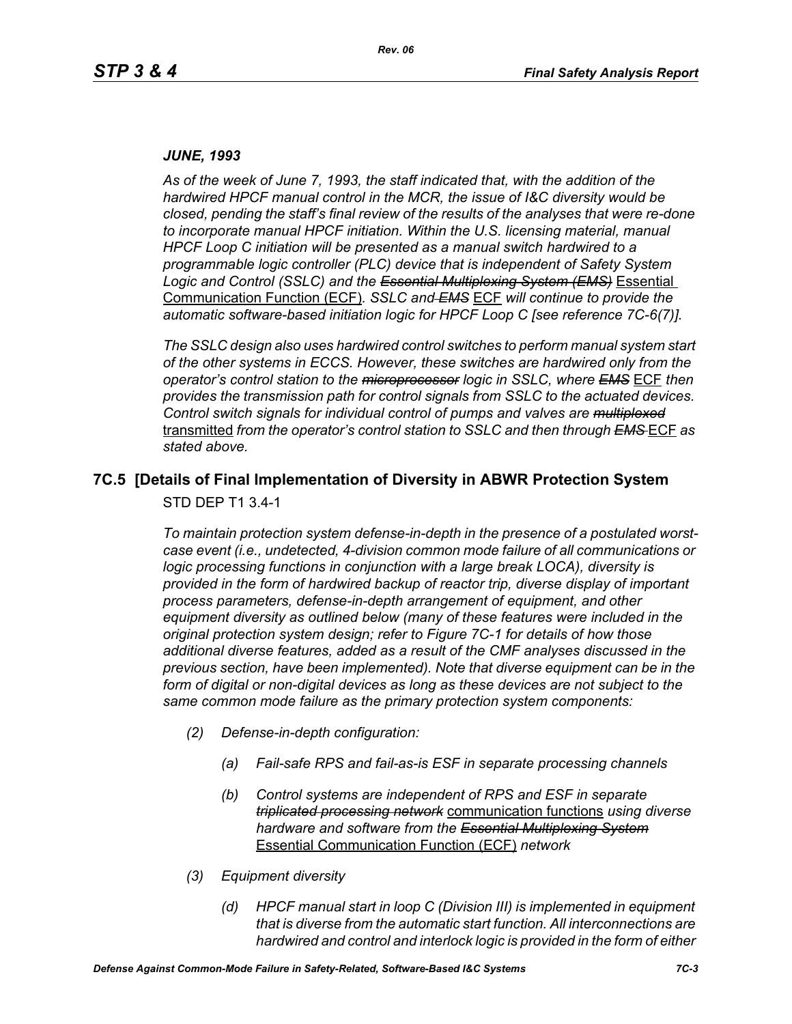#### *JUNE, 1993*

*As of the week of June 7, 1993, the staff indicated that, with the addition of the hardwired HPCF manual control in the MCR, the issue of I&C diversity would be closed, pending the staff's final review of the results of the analyses that were re-done to incorporate manual HPCF initiation. Within the U.S. licensing material, manual HPCF Loop C initiation will be presented as a manual switch hardwired to a programmable logic controller (PLC) device that is independent of Safety System Logic and Control (SSLC) and the Essential Multiplexing System (EMS)* Essential Communication Function (ECF)*. SSLC and EMS* ECF *will continue to provide the automatic software-based initiation logic for HPCF Loop C [see reference 7C-6(7)].*

*The SSLC design also uses hardwired control switches to perform manual system start of the other systems in ECCS. However, these switches are hardwired only from the operator's control station to the microprocessor logic in SSLC, where EMS* ECF *then provides the transmission path for control signals from SSLC to the actuated devices. Control switch signals for individual control of pumps and valves are multiplexed* transmitted *from the operator's control station to SSLC and then through EMS* ECF *as stated above.*

# **7C.5 [Details of Final Implementation of Diversity in ABWR Protection System**

STD DEP T1 3.4-1

*To maintain protection system defense-in-depth in the presence of a postulated worstcase event (i.e., undetected, 4-division common mode failure of all communications or logic processing functions in conjunction with a large break LOCA), diversity is provided in the form of hardwired backup of reactor trip, diverse display of important process parameters, defense-in-depth arrangement of equipment, and other equipment diversity as outlined below (many of these features were included in the original protection system design; refer to Figure 7C-1 for details of how those additional diverse features, added as a result of the CMF analyses discussed in the previous section, have been implemented). Note that diverse equipment can be in the*  form of digital or non-digital devices as long as these devices are not subject to the *same common mode failure as the primary protection system components:*

- *(2) Defense-in-depth configuration:*
	- *(a) Fail-safe RPS and fail-as-is ESF in separate processing channels*
	- *(b) Control systems are independent of RPS and ESF in separate triplicated processing network* communication functions *using diverse hardware and software from the Essential Multiplexing System* Essential Communication Function (ECF) *network*
- *(3) Equipment diversity*
	- *(d) HPCF manual start in loop C (Division III) is implemented in equipment that is diverse from the automatic start function. All interconnections are hardwired and control and interlock logic is provided in the form of either*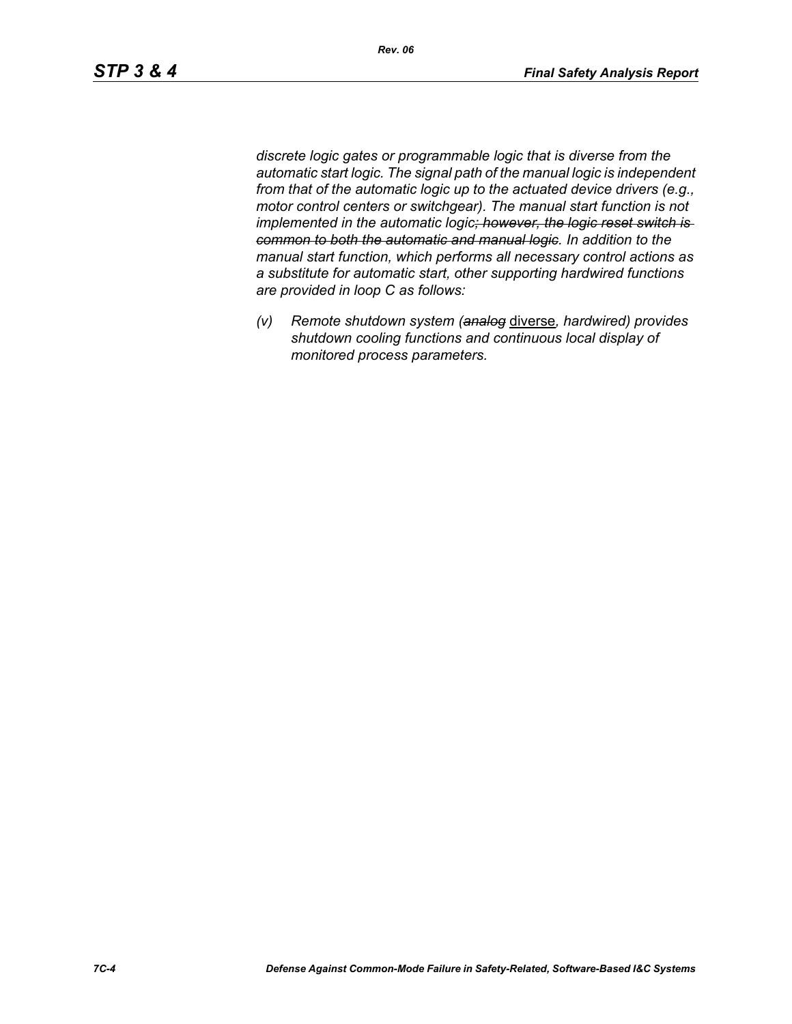*discrete logic gates or programmable logic that is diverse from the automatic start logic. The signal path of the manual logic is independent from that of the automatic logic up to the actuated device drivers (e.g., motor control centers or switchgear). The manual start function is not implemented in the automatic logic; however, the logic reset switch is common to both the automatic and manual logic. In addition to the manual start function, which performs all necessary control actions as a substitute for automatic start, other supporting hardwired functions are provided in loop C as follows:*

*(v) Remote shutdown system (analog* diverse*, hardwired) provides shutdown cooling functions and continuous local display of monitored process parameters.*